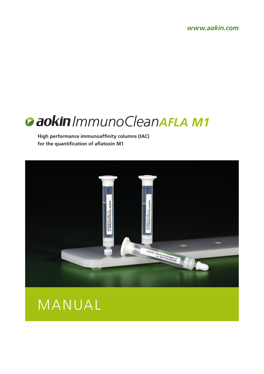*www.aokin.com*

# *ImmunoCleanAFLA M1*

**High performance immunoaffinity columns (IAC) for the quantification of aflatoxin M1**



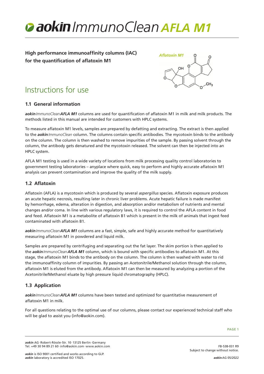

**High performance immunoaffinity columns (IAC) for the quantification of aflatoxin M1**



# Instructions for use

# **1.1 General information**

*aokinImmunoCleanAFLA M1* columns are used for quantification of aflatoxin M1 in milk and milk products. The methods listed in this manual are intended for customers with HPLC systems.

To measure aflatoxin M1 levels, samples are prepared by defatting and extracting. The extract is then applied to the *aokinImmunoClean* column. The columns contain specific antibodies. The mycotoxin binds to the antibody on the column. The column is then washed to remove impurities of the sample. By passing solvent through the column, the antibody gets denatured and the mycotoxin released. The solvent can then be injected into an HPLC system.

AFLA M1 testing is used in a wide variety of locations from milk processing quality control laboratories to government testing laboratories – anyplace where quick, easy to perform and highly accurate aflatoxin M1 analysis can prevent contamination and improve the quality of the milk supply.

# **1.2 Aflatoxin**

Aflatoxin (AFLA) is a mycotoxin which is produced by several *aspergillus* species. Aflatoxin exposure produces an acute hepatic necrosis, resulting later in chronic liver problems. Acute hepatic failure is made manifest by hemorrhage, edema, alteration in digestion, and absorption and/or metabolism of nutrients and mental changes and/or coma. In line with various regulatory laws, it is required to control the AFLA content in food and feed. Aflatoxin M1 is a metabolite of aflatoxin B1 which is present in the milk of animals that ingest feed contaminated with aflatoxin B1.

*aokinImmunoCleanAFLA M1* columns are a fast, simple, safe and highly accurate method for quantitatively measuring aflatoxin M1 in powdered and liquid milk.

Samples are prepared by centrifuging and separating out the fat layer. The skim portion is then applied to the *aokinImmunoCleanAFLA M1* column, which is bound with specific antibodies to aflatoxin M1. At this stage, the aflatoxin M1 binds to the antibody on the column. The column is then washed with water to rid the immunoaffinity column of impurities. By passing an Acetonitrile/Methanol solution through the column, aflatoxin M1 is eluted from the antibody. Aflatoxin M1 can then be measured by analyzing a portion of the Acetonitrile/Methanol eluate by high pressure liquid chromatography (HPLC).

# **1.3 Application**

*aokinImmunoCleanAFLA M1* columns have been tested and optimized for quantitative measurement of aflatoxin M1 in milk.

For all questions relating to the optimal use of our columns, please contact our experienced technical staff who will be glad to assist you (info@aokin.com).

PAGE 1

FB-538-031 R9

*aokin*AG 05/2022

*aokin* AG·Robert-Rössle-Str. 10·13125 Berlin·Germany Tel. +49 30 94 89 21 60·info@aokin.com·www.aokin.com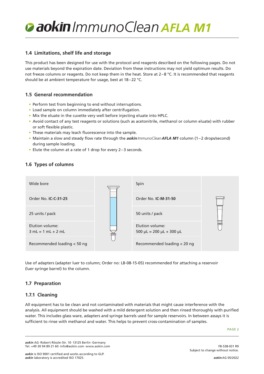## **1.4 Limitations, shelf life and storage**

This product has been designed for use with the protocol and reagents described on the following pages. Do not use materials beyond the expiration date. Deviation from these instructions may not yield optimum results. Do not freeze columns or reagents. Do not keep them in the heat. Store at  $2-8$  °C. It is recommended that reagents should be at ambient temperature for usage, best at 18–22 °C.

# **1.5 General recommendation**

- Perform test from beginning to end without interruptions.
- Load sample on column immediately after centrifugation.
- Mix the eluate in the cuvette very well before injecting eluate into HPLC.
- Avoid contact of any test reagents or solutions (such as acetonitrile, methanol or column eluate) with rubber or soft flexible plastic.
- These materials may leach fluorescence into the sample.
- Maintain a slow and steady flow rate through the *aokinImmunoCleanAFLA M1* column (1–2 drops/second) during sample loading.
- Elute the column at a rate of 1 drop for every 2–3 seconds.

# **1.6 Types of columns**



Use of adapters (adapter luer to column; Order no: LB-08-15-05) recommended for attaching a reservoir (luer syringe barrel) to the column.

## **1.7 Preparation**

## **1.7.1 Cleaning**

All equipment has to be clean and not contaminated with materials that might cause interference with the analysis. All equipment should be washed with a mild detergent solution and then rinsed thoroughly with purified water. This includes glass ware, adapters and syringe barrels used for sample reservoirs. In between assays it is sufficient to rinse with methanol and water. This helps to prevent cross-contamination of samples.

PAGE 2

*aokin* AG·Robert-Rössle-Str. 10·13125 Berlin·Germany Tel. +49 30 94 89 21 60·info@aokin.com·www.aokin.com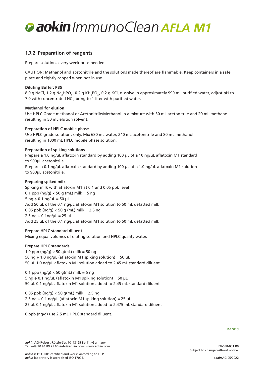# **1.7.2 Preparation of reagents**

Prepare solutions every week or as needed.

CAUTION: Methanol and acetonitrile and the solutions made thereof are flammable. Keep containers in a safe place and tightly capped when not in use.

#### **Diluting Buffer: PBS**

8.0 g NaCl, 1.2 g Na<sub>2</sub>HPO<sub>4</sub>, 0.2 g KH<sub>2</sub>PO<sub>4</sub>, 0.2 g KCl, dissolve in approximately 990 mL purified water, adjust pH to 7.0 with concentrated HCl, bring to 1 liter with purified water.

#### **Methanol for elution**

Use HPLC Grade methanol or Acetonitrile/Methanol in a mixture with 30 mL acetonitrile and 20 mL methanol resulting in 50 mL elution solvent.

#### **Preparation of HPLC mobile phase**

Use HPLC grade solutions only. Mix 680 mL water, 240 mL acetonitrile and 80 mL methanol resulting in 1000 mL HPLC mobile phase solution.

#### **Preparation of spiking solutions**

Prepare a 1.0 ng/µL aflatoxin standard by adding 100 µL of a 10 ng/µL aflatoxin M1 standard to 900µL acetonitrile. Prepare a 0.1 ng/µL aflatoxin standard by adding 100 µL of a 1.0 ng/µL aflatoxin M1 solution to 900µL acetonitrile.

#### **Preparing spiked milk**

Spiking milk with aflatoxin M1 at 0.1 and 0.05 ppb level 0.1 ppb ( $nq/q$ )  $\times$  50 g (mL) milk = 5 ng  $5$  ng  $\div$  0.1 ng/ $\mu$ L = 50  $\mu$ L Add 50 µL of the 0.1 ng/µL aflatoxin M1 solution to 50 mL defatted milk 0.05 ppb (ng/g)  $\times$  50 g (mL) milk = 2.5 ng  $2.5$  ng  $\div$  0.1ng/ $\mu$ L = 25  $\mu$ L Add 25 µL of the 0.1 ng/µL aflatoxin M1 solution to 50 mL defatted milk

#### **Prepare HPLC standard diluent**

Mixing equal volumes of eluting solution and HPLC quality water.

#### **Prepare HPLC standards**

1.0 ppb ( $nq/q$ )  $\times$  50 g(mL) milk = 50 ng 50 ng  $\div$  1.0 ng/ $\mu$ L (aflatoxin M1 spiking solution) = 50  $\mu$ L 50 µL 1.0 ng/µL aflatoxin M1 solution added to 2.45 mL standard diluent

0.1 ppb ( $nq/q$ )  $\times$  50 g(mL) milk = 5 ng 5 ng  $\div$  0.1 ng/uL (aflatoxin M1 spiking solution) = 50 uL 50 µL 0.1 ng/µL aflatoxin M1 solution added to 2.45 mL standard diluent

0.05 ppb (ng/g)  $\times$  50 g(mL) milk = 2.5 ng 2.5 ng  $\div$  0.1 ng/µL (aflatoxin M1 spiking solution) = 25 µL 25 µL 0.1 ng/µL aflatoxin M1 solution added to 2.475 mL standard diluent

0 ppb (ng/g) use 2.5 mL HPLC standard diluent.

PAGE 3

*aokin* AG·Robert-Rössle-Str. 10·13125 Berlin·Germany Tel. +49 30 94 89 21 60·info@aokin.com·www.aokin.com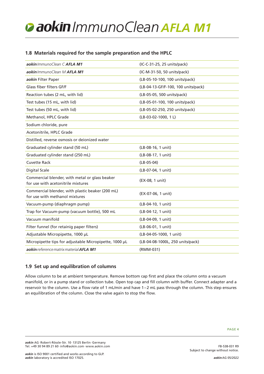# **1.8 Materials required for the sample preparation and the HPLC**

| aokin ImmunoClean C AFLA M1                                                          | (IC-C-31-25, 25 units/pack)         |
|--------------------------------------------------------------------------------------|-------------------------------------|
| aokin ImmunoClean M AFLA M1                                                          | (IC-M-31-50, 50 units/pack)         |
| aokin Filter Paper                                                                   | (LB-05-10-100, 100 units/pack)      |
| Glass fiber filters GF/F                                                             | (LB-04-13-GF/F-100, 100 units/pack) |
| Reaction tubes (2 mL, with lid)                                                      | (LB-05-05, 500 units/pack)          |
| Test tubes (15 mL, with lid)                                                         | (LB-05-01-100, 100 units/pack)      |
| Test tubes (50 mL, with lid)                                                         | (LB-05-02-250, 250 units/pack)      |
| Methanol, HPLC Grade                                                                 | $(LB-03-02-1000, 1 L)$              |
| Sodium chloride, pure                                                                |                                     |
| Acetonitrile, HPLC Grade                                                             |                                     |
| Distilled, reverse osmosis or deionized water                                        |                                     |
| Graduated cylinder stand (50 mL)                                                     | (LB-08-16, 1 unit)                  |
| Graduated cylinder stand (250 mL)                                                    | (LB-08-17, 1 unit)                  |
| <b>Cuvette Rack</b>                                                                  | $(LB-05-04)$                        |
| <b>Digital Scale</b>                                                                 | (LB-07-04, 1 unit)                  |
| Commercial blender, with metal or glass beaker<br>for use with acetonitrile mixtures | (EX-08, 1 unit)                     |
| Commercial blender, with plastic beaker (200 mL)<br>for use with methanol mixtures   | (EX-07-06, 1 unit)                  |
| Vacuum-pump (diaphragm pump)                                                         | (LB-04-10, 1 unit)                  |
| Trap for Vacuum-pump (vacuum bottle), 500 mL                                         | (LB-04-12, 1 unit)                  |
| Vacuum manifold                                                                      | (LB-04-09, 1 unit)                  |
| Filter funnel (for retainig paper filters)                                           | (LB-06-01, 1 unit)                  |
| Adjustable Micropipette, 1000 µL                                                     | (LB-04-05-1000, 1 unit)             |
| Micropipette tips for adjustable Micropipette, 1000 µL                               | (LB-04-08-1000L, 250 units/pack)    |
| aokin reference matrix material AFLA M1                                              | (RMM-031)                           |

# **1.9 Set up and equilibration of columns**

Allow column to be at ambient temperature. Remove bottom cap first and place the column onto a vacuum manifold, or in a pump stand or collection tube. Open top cap and fill column with buffer. Connect adapter and a reservoir to the column. Use a flow rate of 1 mL/min and have 1–2 mL pass through the column. This step ensures an equilibration of the column. Close the valve again to stop the flow.

Subject to change without notice.

FB-538-031 R9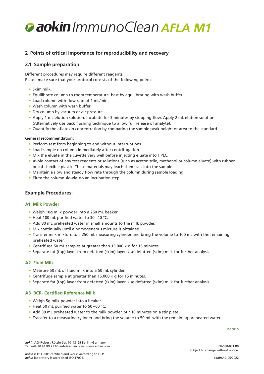# **2 Points of critical importance for reproducibility and recovery**

# **2.1 Sample preparation**

Different procedures may require different reagents. Please make sure that your protocol consists of the following points:

- Skim milk.
- Equilibrate column to room temperature, best by equilibrating with wash buffer.
- Load column with flow rate of 1 mL/min.
- Wash column with wash buffer.
- Dry column by vacuum or air pressure.
- Apply 1 mL elution solution. Incubate for 3 minutes by stopping flow. Apply 2 mL elution solution (Alternatively use back flushing technique to allow full release of analyte).
- Quantify the aflatoxin concentration by comparing the sample peak height or area to the standard.

#### **General recommendation:**

- Perform test from beginning to end without interruptions.
- Load sample on column immediately after centrifugation.
- Mix the eluate in the cuvette very well before injecting eluate into HPLC.
- Avoid contact of any test reagents or solutions (such as acetonitrile, methanol or column eluate) with rubber or soft flexible plastic. These materials may leach chemicals into the sample.
- Maintain a slow and steady flow rate through the column during sample loading.
- Elute the column slowly, do an incubation step.

### **Example Procedures:**

### **A1 Milk Powder**

- Weigh 10g milk powder into a 250 mL beaker.
- Heat 100 mL purified water to 30–40 °C.
- Add 80 mL preheated water in small amounts to the milk powder.
- Mix continually until a homogeneous mixture is obtained.
- Transfer milk mixture to a 250 mL measuring cylinder and bring the volume to 100 mL with the remaining preheated water.
- Centrifuge 50 mL samples at greater than 15.000 × g for 15 minutes.
- Separate fat (top) layer from defatted (skim) layer. Use defatted (skim) milk for further analysis.

### **A2 Fluid Milk**

- Measure 50 mL of fluid milk into a 50 mL cylinder.
- Centrifuge sample at greater than 15.000 × g for 15 minutes.
- Separate fat (top) layer from defatted (skim) layer. Use defatted (skim) milk for further analysis.

#### **A3 BCR- Certified Reference Milk**

- Weigh 5g milk powder into a beaker.
- Heat 50 mL purified water to 50–60 °C.
- Add 30 mL preheated water to the milk powder. Stir 10 minutes on a stir plate.
- Transfer to a measuring cylinder and bring the volume to 50 mL with the remaining preheated water.

PAGE 5

*aokin* AG·Robert-Rössle-Str. 10·13125 Berlin·Germany Tel. +49 30 94 89 21 60·info@aokin.com·www.aokin.com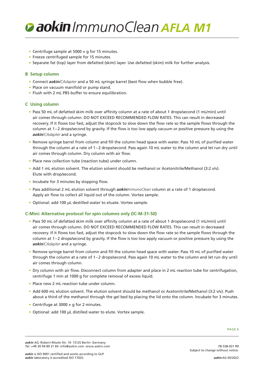

- Centrifuge sample at 5000 × g for 15 minutes.
- Freeze centrifuged sample for 15 minutes.
- Separate fat (top) layer from defatted (skim) layer. Use defatted (skim) milk for further analysis.

#### **B Setup column**

- Connect *aokinICAdapter* and a 50 mL syringe barrel (best flow when bubble free).
- Place on vacuum manifold or pump stand.
- Flush with 2 mL PBS buffer to ensure equilibration.

#### **C Using column**

- Pass 50 mL of defatted skim milk over affinity column at a rate of about 1 drops/second (1 mL/min) until air comes through column. DO NOT EXCEED RECOMMENDED FLOW RATES. This can result in decreased recovery. If it flows too fast, adjust the stopcock to slow down the flow rate so the sample flows through the column at 1–2 drops/second by gravity. If the flow is too low apply vacuum or positive pressure by using the *aokinICAdapter* and a syringe.
- Remove syringe barrel from column and fill the column head space with water. Pass 10 mL of purified water through the column at a rate of 1–2 drops/second. Pass again 10 mL water to the column and let run dry until air comes through column. Dry column with air flow.
- Place new collection tube (reaction tube) under column.
- Add 1 mL elution solvent. The elution solvent should be methanol or Acetonitrile/Methanol (3:2 v/v). Elute with drop/second.
- Incubate for 3 minutes by stopping flow.
- Pass additional 2 mL elution solvent through *aokinImmunoClean* column at a rate of 1 drop/second. Apply air flow to collect all liquid out of the column. Vortex sample.
- Optional: add 100 µL destilled water to eluate. Vortex sample.

### **C-Mini: Alternative protocol for spin columns only (IC-M-31-50)**

- Pass 50 mL of defatted skim milk over affinity column at a rate of about 1 drops/second (1 mL/min) until air comes through column. DO NOT EXCEED RECOMMENDED FLOW RATES. This can result in decreased recovery. If it flows too fast, adjust the stopcock to slow down the flow rate so the sample flows through the column at 1–2 drops/second by gravity. If the flow is too low apply vacuum or positive pressure by using the *aokinICAdapter* and a syringe.
- Remove syringe barrel from column and fill the column head space with water. Pass 10 mL of purified water through the column at a rate of 1–2 drops/second. Pass again 10 mL water to the column and let run dry until air comes through column.
- Dry column with air flow. Disconnect column from adapter and place in 2 mL reaction tube for centrifugation, centrifuge 1 min at 1000 g for complete removal of excess liquid.
- Place new 2 mL reaction tube under column.
- Add 600 mL elution solvent. The elution solvent should be methanol or Acetonitrile/Methanol (3:2 v/v). Push about a third of the methanol through the gel bed by placing the lid onto the column. Incubate for 3 minutes.
- Centrifuge at 3000 × g for 2 minutes.
- Optional: add 100 µL distilled water to elute. Vortex sample.

*aokin* AG·Robert-Rössle-Str. 10·13125 Berlin·Germany Tel. +49 30 94 89 21 60·info@aokin.com·www.aokin.com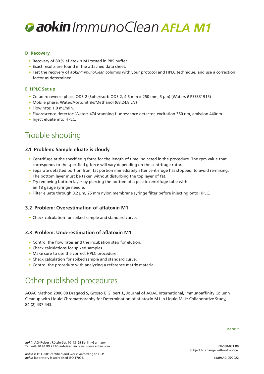#### **D Recovery**

- Recovery of 80% aflatoxin M1 tested in PBS buffer.
- Exact results are found in the attached data sheet.
- Test the recovery of *aokinImmunoClean* columns with your protocol and HPLC technique, and use a correction factor as determined.

#### **E HPLC Set up**

- Column: reverse phase ODS-2 (Spherisorb ODS-2, 4.6 mm × 250 mm, 5 µm) (Waters # PSS831915)
- Mobile phase: Water/Acetonitrile/Methanol (68:24:8 v/v)
- Flow rate: 1.0 mL/min.
- Fluorescence detector: Waters 474 scanning fluorescence detector, excitation 360 nm, emission 440nm
- Inject eluate into HPLC.

# Trouble shooting

## **3.1 Problem: Sample eluate is cloudy**

- Centrifuge at the specified g force for the length of time indicated in the procedure. The rpm value that corresponds to the specified g force will vary depending on the centrifuge rotor.
- Separate defatted portion from fat portion immediately after centrifuge has stopped, to avoid re-mixing. The bottom layer must be taken without disturbing the top layer of fat.
- Try removing bottom layer by piercing the bottom of a plastic centrifuge tube with an 18 gauge syringe needle.
- Filter eluate through 0.2 µm, 25 mm nylon membrane syringe filter before injecting onto HPLC.

### **3.2 Problem: Overestimation of aflatoxin M1**

• Check calculation for spiked sample and standard curve.

## **3.3 Problem: Underestimation of aflatoxin M1**

- Control the flow rates and the incubation step for elution.
- Check calculations for spiked samples.
- Make sure to use the correct HPLC procedure.
- Check calculation for spiked sample and standard curve.
- Control the procedure with analyzing a reference matrix material.

# Other published procedures

AOAC Method 2000.08 Dragacci S, Grosso F, Gilbert J., Journal of AOAC International, Immunoaffinity Column Cleanup with Liquid Chromatography for Determination of aflatoxin M1 in Liquid Milk: Collaborative Study, 84 (2) 437-443.

Subject to change without notice.

FB-538-031 R9